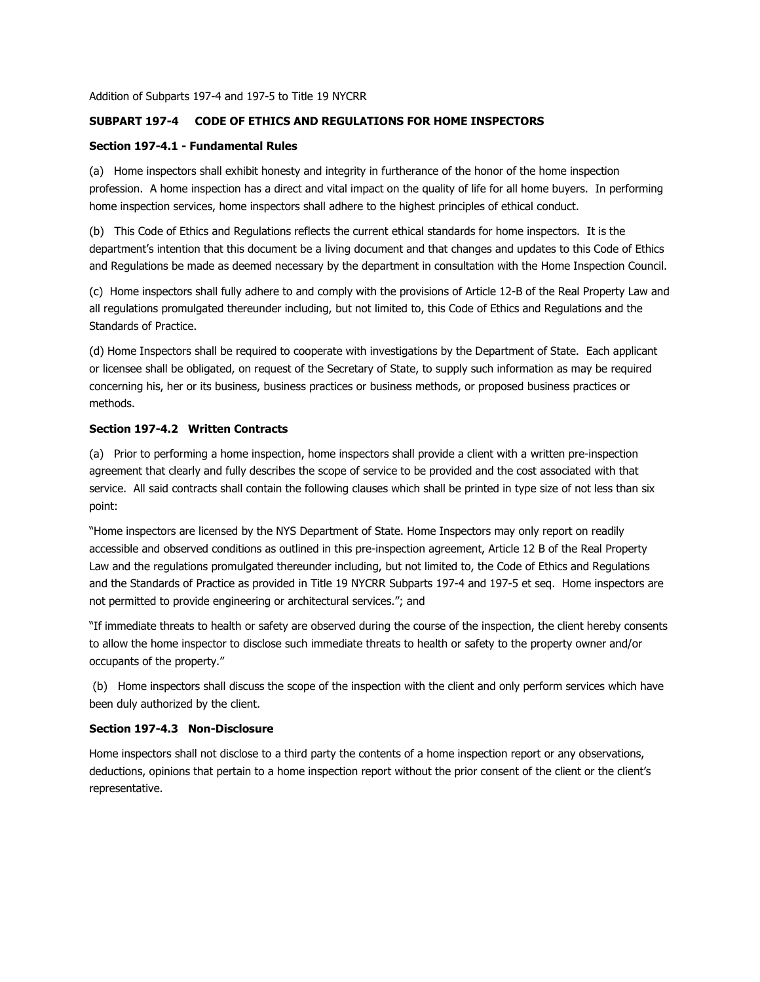# **SUBPART 197-4 CODE OF ETHICS AND REGULATIONS FOR HOME INSPECTORS**

# **Section 197-4.1 - Fundamental Rules**

(a) Home inspectors shall exhibit honesty and integrity in furtherance of the honor of the home inspection profession. A home inspection has a direct and vital impact on the quality of life for all home buyers. In performing home inspection services, home inspectors shall adhere to the highest principles of ethical conduct.

(b) This Code of Ethics and Regulations reflects the current ethical standards for home inspectors. It is the department's intention that this document be a living document and that changes and updates to this Code of Ethics and Regulations be made as deemed necessary by the department in consultation with the Home Inspection Council.

(c) Home inspectors shall fully adhere to and comply with the provisions of Article 12-B of the Real Property Law and all regulations promulgated thereunder including, but not limited to, this Code of Ethics and Regulations and the Standards of Practice.

(d) Home Inspectors shall be required to cooperate with investigations by the Department of State. Each applicant or licensee shall be obligated, on request of the Secretary of State, to supply such information as may be required concerning his, her or its business, business practices or business methods, or proposed business practices or methods.

# **Section 197-4.2 Written Contracts**

(a) Prior to performing a home inspection, home inspectors shall provide a client with a written pre-inspection agreement that clearly and fully describes the scope of service to be provided and the cost associated with that service. All said contracts shall contain the following clauses which shall be printed in type size of not less than six point:

"Home inspectors are licensed by the NYS Department of State. Home Inspectors may only report on readily accessible and observed conditions as outlined in this pre-inspection agreement, Article 12 B of the Real Property Law and the regulations promulgated thereunder including, but not limited to, the Code of Ethics and Regulations and the Standards of Practice as provided in Title 19 NYCRR Subparts 197-4 and 197-5 et seq. Home inspectors are not permitted to provide engineering or architectural services."; and

"If immediate threats to health or safety are observed during the course of the inspection, the client hereby consents to allow the home inspector to disclose such immediate threats to health or safety to the property owner and/or occupants of the property."

 (b) Home inspectors shall discuss the scope of the inspection with the client and only perform services which have been duly authorized by the client.

#### **Section 197-4.3 Non-Disclosure**

Home inspectors shall not disclose to a third party the contents of a home inspection report or any observations, deductions, opinions that pertain to a home inspection report without the prior consent of the client or the client's representative.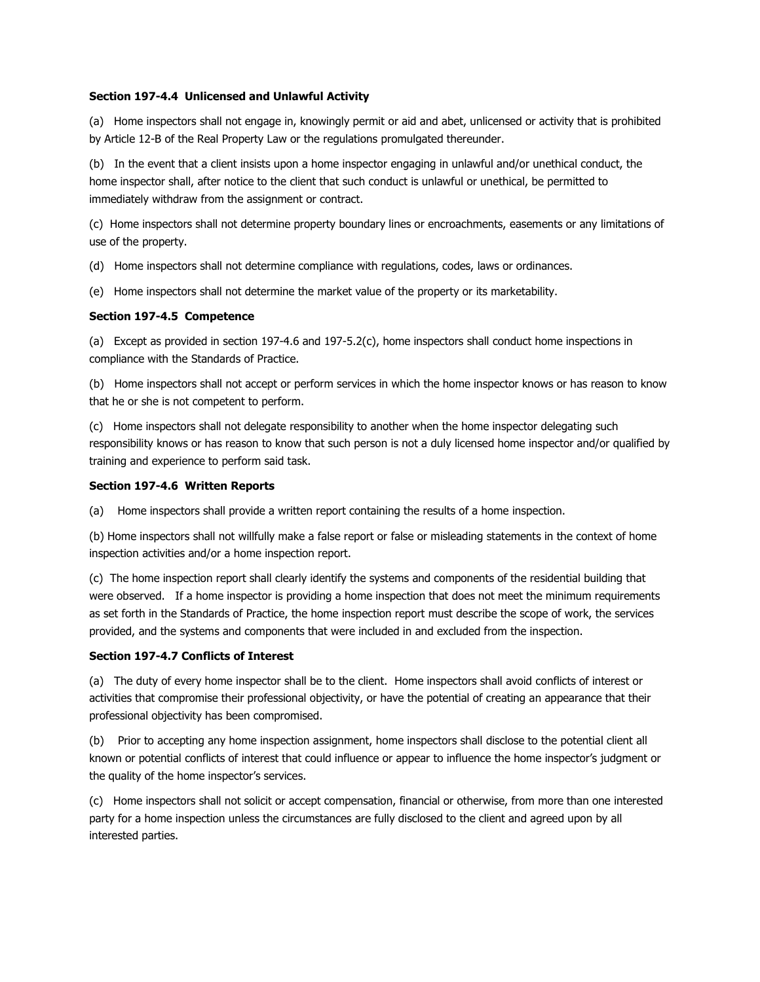## **Section 197-4.4 Unlicensed and Unlawful Activity**

(a) Home inspectors shall not engage in, knowingly permit or aid and abet, unlicensed or activity that is prohibited by Article 12-B of the Real Property Law or the regulations promulgated thereunder.

(b) In the event that a client insists upon a home inspector engaging in unlawful and/or unethical conduct, the home inspector shall, after notice to the client that such conduct is unlawful or unethical, be permitted to immediately withdraw from the assignment or contract.

(c) Home inspectors shall not determine property boundary lines or encroachments, easements or any limitations of use of the property.

(d) Home inspectors shall not determine compliance with regulations, codes, laws or ordinances.

(e) Home inspectors shall not determine the market value of the property or its marketability.

## **Section 197-4.5 Competence**

(a) Except as provided in section 197-4.6 and 197-5.2(c), home inspectors shall conduct home inspections in compliance with the Standards of Practice.

(b) Home inspectors shall not accept or perform services in which the home inspector knows or has reason to know that he or she is not competent to perform.

(c) Home inspectors shall not delegate responsibility to another when the home inspector delegating such responsibility knows or has reason to know that such person is not a duly licensed home inspector and/or qualified by training and experience to perform said task.

#### **Section 197-4.6 Written Reports**

(a) Home inspectors shall provide a written report containing the results of a home inspection.

(b) Home inspectors shall not willfully make a false report or false or misleading statements in the context of home inspection activities and/or a home inspection report.

(c) The home inspection report shall clearly identify the systems and components of the residential building that were observed. If a home inspector is providing a home inspection that does not meet the minimum requirements as set forth in the Standards of Practice, the home inspection report must describe the scope of work, the services provided, and the systems and components that were included in and excluded from the inspection.

## **Section 197-4.7 Conflicts of Interest**

(a) The duty of every home inspector shall be to the client. Home inspectors shall avoid conflicts of interest or activities that compromise their professional objectivity, or have the potential of creating an appearance that their professional objectivity has been compromised.

(b) Prior to accepting any home inspection assignment, home inspectors shall disclose to the potential client all known or potential conflicts of interest that could influence or appear to influence the home inspector's judgment or the quality of the home inspector's services.

(c) Home inspectors shall not solicit or accept compensation, financial or otherwise, from more than one interested party for a home inspection unless the circumstances are fully disclosed to the client and agreed upon by all interested parties.